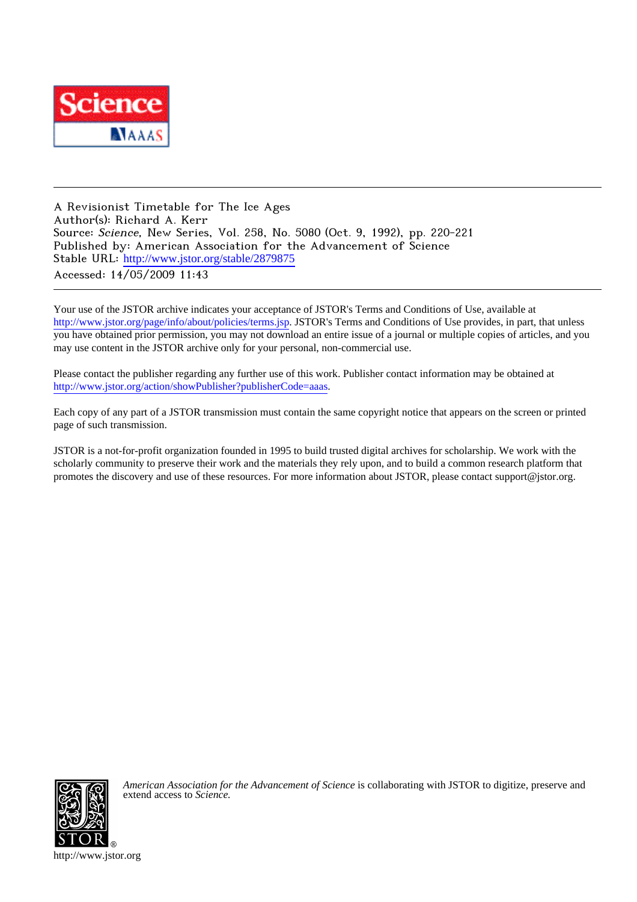

A Revisionist Timetable for The Ice Ages Author(s): Richard A. Kerr Source: Science, New Series, Vol. 258, No. 5080 (Oct. 9, 1992), pp. 220-221 Published by: American Association for the Advancement of Science Stable URL: [http://www.jstor.org/stable/2879875](http://www.jstor.org/stable/2879875?origin=JSTOR-pdf) Accessed: 14/05/2009 11:43

Your use of the JSTOR archive indicates your acceptance of JSTOR's Terms and Conditions of Use, available at <http://www.jstor.org/page/info/about/policies/terms.jsp>. JSTOR's Terms and Conditions of Use provides, in part, that unless you have obtained prior permission, you may not download an entire issue of a journal or multiple copies of articles, and you may use content in the JSTOR archive only for your personal, non-commercial use.

Please contact the publisher regarding any further use of this work. Publisher contact information may be obtained at <http://www.jstor.org/action/showPublisher?publisherCode=aaas>.

Each copy of any part of a JSTOR transmission must contain the same copyright notice that appears on the screen or printed page of such transmission.

JSTOR is a not-for-profit organization founded in 1995 to build trusted digital archives for scholarship. We work with the scholarly community to preserve their work and the materials they rely upon, and to build a common research platform that promotes the discovery and use of these resources. For more information about JSTOR, please contact support@jstor.org.



*American Association for the Advancement of Science* is collaborating with JSTOR to digitize, preserve and extend access to *Science.*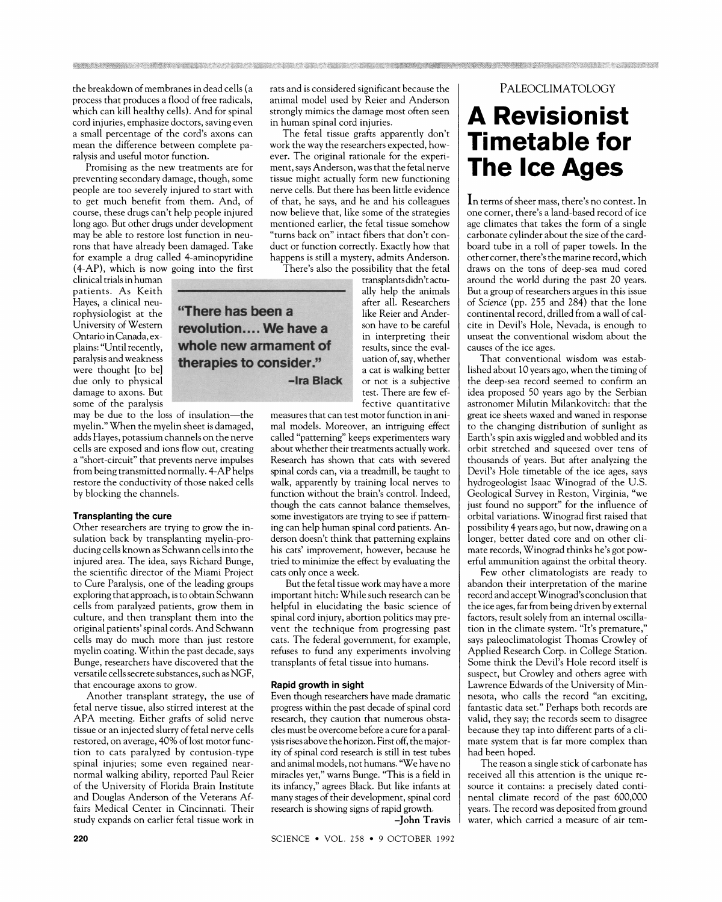the breakdown of membranes in dead cells (a process that produces a flood of free radicals, which can kill healthy cells). And for spinal cord injuries, emphasize doctors, saving even a small percentage of the cord's axons can mean the difference between complete paralysis and useful motor function.

Promising as the new treatments are for preventing secondary damage, though, some people are too severely injured to start with to get much benefit from them. And, of course, these drugs can't help people injured long ago. But other drugs under development may be able to restore lost function in neurons that have already been damaged. Take for example a drug called 4-aminopyridine (4-AP), which is now going into the first

clinical trials in human patients. As Keith Haves, a clinical neurophysiologist at the University of Western Ontario in Canada, explains: "Until recently. paralysis and weakness were thought [to be] due only to physical damage to axons. But some of the paralysis

may be due to the loss of insulation-the myelin." When the myelin sheet is damaged, adds Haves, potassium channels on the nerve cells are exposed and ions flow out, creating a "short-circuit" that prevents nerve impulses from being transmitted normally. 4-AP helps restore the conductivity of those naked cells by blocking the channels.

### **Transplanting the cure**

Other researchers are trying to grow the insulation back by transplanting myelin-producing cells known as Schwann cells into the injured area. The idea, says Richard Bunge, the scientific director of the Miami Project to Cure Paralysis, one of the leading groups exploring that approach, is to obtain Schwann cells from paralyzed patients, grow them in culture, and then transplant them into the original patients' spinal cords. And Schwann cells may do much more than just restore myelin coating. Within the past decade, says Bunge, researchers have discovered that the versatile cells secrete substances, such as NGF, that encourage axons to grow.

Another transplant strategy, the use of fetal nerve tissue, also stirred interest at the APA meeting. Either grafts of solid nerve tissue or an injected slurry of fetal nerve cells restored, on average, 40% of lost motor function to cats paralyzed by contusion-type spinal injuries; some even regained nearnormal walking ability, reported Paul Reier of the University of Florida Brain Institute and Douglas Anderson of the Veterans Affairs Medical Center in Cincinnati. Their study expands on earlier fetal tissue work in

rats and is considered significant because the animal model used by Reier and Anderson strongly mimics the damage most often seen in human spinal cord injuries.

The fetal tissue grafts apparently don't work the way the researchers expected, however. The original rationale for the experiment, says Anderson, was that the fetal nerve tissue might actually form new functioning nerve cells. But there has been little evidence of that, he says, and he and his colleagues now believe that, like some of the strategies mentioned earlier, the fetal tissue somehow "turns back on" intact fibers that don't conduct or function correctly. Exactly how that happens is still a mystery, admits Anderson.

There's also the possibility that the fetal

transplants didn't actu-

ally help the animals

after all. Researchers

like Reier and Ander-

son have to be careful

in interpreting their

results, since the eval-

uation of, say, whether

a cat is walking better

or not is a subjective

test. There are few ef-

"There has been a revolution.... We have a whole new armament of therapies to consider." -Ira Black

fective quantitative measures that can test motor function in animal models. Moreover, an intriguing effect called "patterning" keeps experimenters wary about whether their treatments actually work. Research has shown that cats with severed spinal cords can, via a treadmill, be taught to walk, apparently by training local nerves to function without the brain's control. Indeed, though the cats cannot balance themselves, some investigators are trying to see if patterning can help human spinal cord patients. Anderson doesn't think that patterning explains his cats' improvement, however, because he tried to minimize the effect by evaluating the cats only once a week.

But the fetal tissue work may have a more important hitch: While such research can be helpful in elucidating the basic science of spinal cord injury, abortion politics may prevent the technique from progressing past cats. The federal government, for example, refuses to fund any experiments involving transplants of fetal tissue into humans.

#### Rapid growth in sight

Even though researchers have made dramatic progress within the past decade of spinal cord research, they caution that numerous obstacles must be overcome before a cure for a paralysis rises above the horizon. First off, the majority of spinal cord research is still in test tubes and animal models, not humans. "We have no miracles yet," warns Bunge. "This is a field in its infancy," agrees Black. But like infants at many stages of their development, spinal cord research is showing signs of rapid growth.

-John Travis

## PALEOCLIMATOLOGY

# **A Revisionist Timetable for The Ice Ages**

In terms of sheer mass, there's no contest. In one corner, there's a land-based record of ice age climates that takes the form of a single carbonate cylinder about the size of the cardboard tube in a roll of paper towels. In the other corner, there's the marine record, which draws on the tons of deep-sea mud cored around the world during the past 20 years. But a group of researchers argues in this issue of Science (pp. 255 and 284) that the lone continental record, drilled from a wall of calcite in Devil's Hole, Nevada, is enough to unseat the conventional wisdom about the causes of the ice ages.

That conventional wisdom was established about 10 years ago, when the timing of the deep-sea record seemed to confirm an idea proposed 50 years ago by the Serbian astronomer Milutin Milankovitch: that the great ice sheets waxed and waned in response to the changing distribution of sunlight as Earth's spin axis wiggled and wobbled and its orbit stretched and squeezed over tens of thousands of years. But after analyzing the Devil's Hole timetable of the ice ages, says hydrogeologist Isaac Winograd of the U.S. Geological Survey in Reston, Virginia, "we just found no support" for the influence of orbital variations. Winograd first raised that possibility 4 years ago, but now, drawing on a longer, better dated core and on other climate records, Winograd thinks he's got powerful ammunition against the orbital theory.

Few other climatologists are ready to abandon their interpretation of the marine record and accept Winograd's conclusion that the ice ages, far from being driven by external factors, result solely from an internal oscillation in the climate system. "It's premature," says paleoclimatologist Thomas Crowley of Applied Research Corp. in College Station. Some think the Devil's Hole record itself is suspect, but Crowley and others agree with Lawrence Edwards of the University of Minnesota, who calls the record "an exciting, fantastic data set." Perhaps both records are valid, they say; the records seem to disagree because they tap into different parts of a climate system that is far more complex than had been hoped.

The reason a single stick of carbonate has received all this attention is the unique resource it contains: a precisely dated continental climate record of the past 600,000 years. The record was deposited from ground water, which carried a measure of air tem-